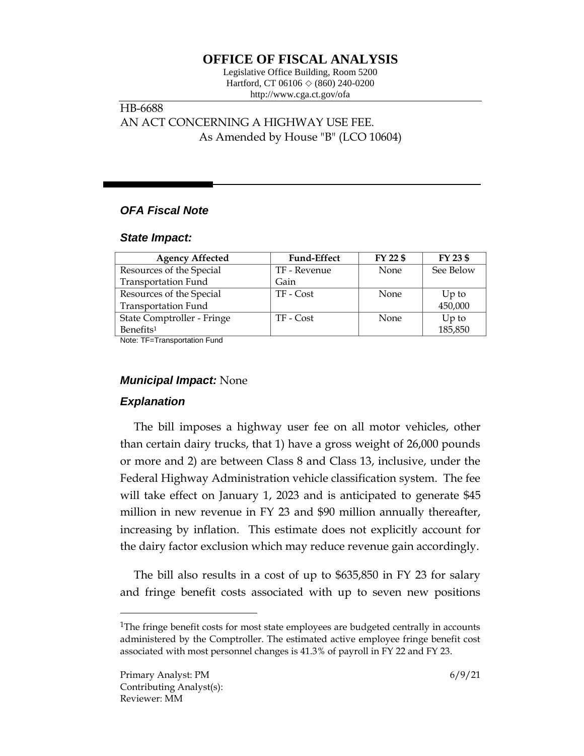# **OFFICE OF FISCAL ANALYSIS**

Legislative Office Building, Room 5200 Hartford, CT 06106 ◇ (860) 240-0200 http://www.cga.ct.gov/ofa

# HB-6688 AN ACT CONCERNING A HIGHWAY USE FEE. As Amended by House "B" (LCO 10604)

# *OFA Fiscal Note*

#### *State Impact:*

| <b>Agency Affected</b>     | <b>Fund-Effect</b> | FY 22 \$    | FY 23 \$  |
|----------------------------|--------------------|-------------|-----------|
| Resources of the Special   | TF - Revenue       | <b>None</b> | See Below |
| <b>Transportation Fund</b> | Gain               |             |           |
| Resources of the Special   | TF - Cost          | <b>None</b> | $Up$ to   |
| <b>Transportation Fund</b> |                    |             | 450,000   |
| State Comptroller - Fringe | TF - Cost          | None        | Up to     |
| Benefits <sup>1</sup>      |                    |             | 185,850   |

Note: TF=Transportation Fund

### *Municipal Impact:* None

### *Explanation*

The bill imposes a highway user fee on all motor vehicles, other than certain dairy trucks, that 1) have a gross weight of 26,000 pounds or more and 2) are between Class 8 and Class 13, inclusive, under the Federal Highway Administration vehicle classification system. The fee will take effect on January 1, 2023 and is anticipated to generate \$45 million in new revenue in FY 23 and \$90 million annually thereafter, increasing by inflation. This estimate does not explicitly account for the dairy factor exclusion which may reduce revenue gain accordingly.

The bill also results in a cost of up to \$635,850 in FY 23 for salary and fringe benefit costs associated with up to seven new positions

 $\overline{a}$ 

<sup>&</sup>lt;sup>1</sup>The fringe benefit costs for most state employees are budgeted centrally in accounts administered by the Comptroller. The estimated active employee fringe benefit cost associated with most personnel changes is 41.3% of payroll in FY 22 and FY 23.